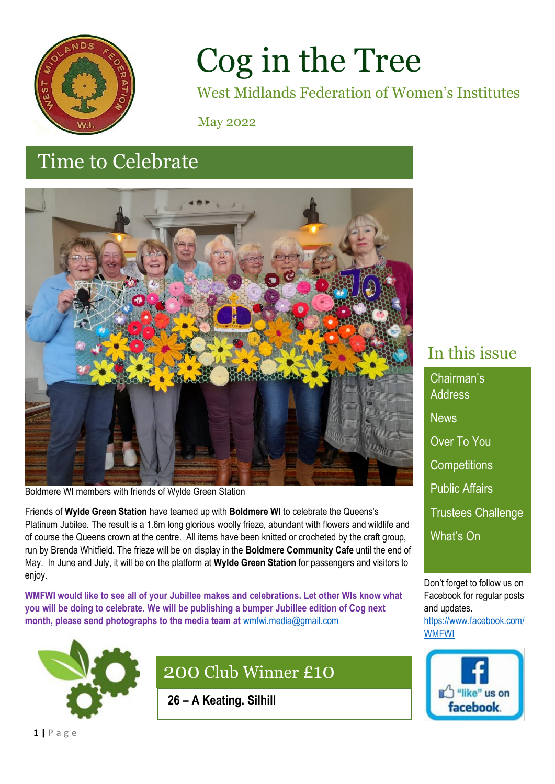

# Cog in the Tree

West Midlands Federation of Women's Institutes

May 2022

# february 2022 Time to Celebrate



Boldmere WI members with friends of Wylde Green Station

Friends of **Wylde Green Station** have teamed up with **Boldmere WI** to celebrate the Queens's Platinum Jubilee. The result is a 1.6m long glorious woolly frieze, abundant with flowers and wildlife and of course the Queens crown at the centre. All items have been knitted or crocheted by the craft group, run by Brenda Whitfield. The frieze will be on display in the **Boldmere Community Cafe** until the end of May. In June and July, it will be on the platform at **Wylde Green Station** for passengers and visitors to enjoy.

**WMFWI would like to see all of your Jubillee makes and celebrations. Let other WIs know what you will be doing to celebrate. We will be publishing a bumper Jubillee edition of Cog next month, please send photographs to the media team at** [wmfwi.media@gmail.com](mailto:wmfwi.media@gmail.com)



# 200 Club Winner £10

**26 – A Keating. Silhill**

# In this issue

Chairman's **Address News** Over To You **Competitions** Public Affairs Trustees Challenge What's On

Don't forget to follow us on Facebook for regular posts and updates.

[https://www.facebook.com/](https://www.facebook.com/WMFWI) [WMFWI](https://www.facebook.com/WMFWI)

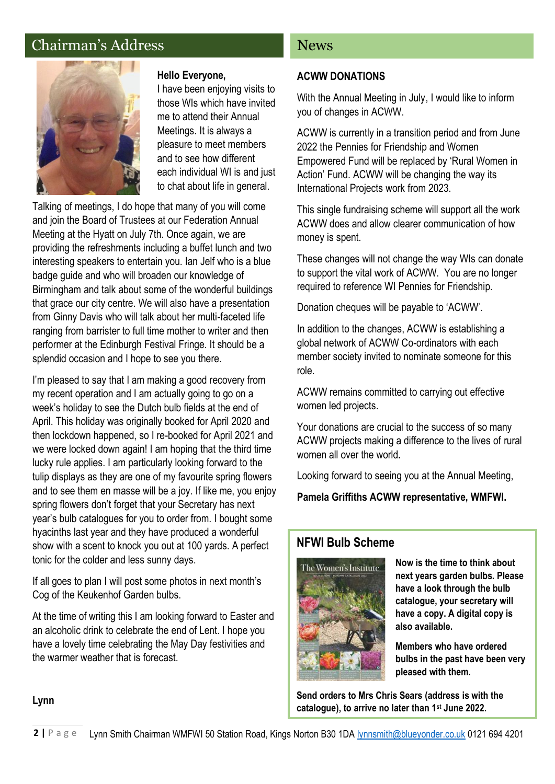### Chairman's Address



#### **Hello Everyone,**

I have been enjoying visits to those WIs which have invited me to attend their Annual Meetings. It is always a pleasure to meet members and to see how different each individual WI is and just to chat about life in general.

Talking of meetings, I do hope that many of you will come and join the Board of Trustees at our Federation Annual Meeting at the Hyatt on July 7th. Once again, we are providing the refreshments including a buffet lunch and two interesting speakers to entertain you. Ian Jelf who is a blue badge guide and who will broaden our knowledge of Birmingham and talk about some of the wonderful buildings that grace our city centre. We will also have a presentation from Ginny Davis who will talk about her multi-faceted life ranging from barrister to full time mother to writer and then performer at the Edinburgh Festival Fringe. It should be a splendid occasion and I hope to see you there.

I'm pleased to say that I am making a good recovery from my recent operation and I am actually going to go on a week's holiday to see the Dutch bulb fields at the end of April. This holiday was originally booked for April 2020 and then lockdown happened, so I re-booked for April 2021 and we were locked down again! I am hoping that the third time lucky rule applies. I am particularly looking forward to the tulip displays as they are one of my favourite spring flowers and to see them en masse will be a joy. If like me, you enjoy spring flowers don't forget that your Secretary has next year's bulb catalogues for you to order from. I bought some hyacinths last year and they have produced a wonderful show with a scent to knock you out at 100 yards. A perfect tonic for the colder and less sunny days.

If all goes to plan I will post some photos in next month's Cog of the Keukenhof Garden bulbs.

At the time of writing this I am looking forward to Easter and an alcoholic drink to celebrate the end of Lent. I hope you have a lovely time celebrating the May Day festivities and the warmer weather that is forecast.

#### News

#### **ACWW DONATIONS**

With the Annual Meeting in July, I would like to inform you of changes in ACWW.

ACWW is currently in a transition period and from June 2022 the Pennies for Friendship and Women Empowered Fund will be replaced by 'Rural Women in Action' Fund. ACWW will be changing the way its International Projects work from 2023.

This single fundraising scheme will support all the work ACWW does and allow clearer communication of how money is spent.

These changes will not change the way WIs can donate to support the vital work of ACWW. You are no longer required to reference WI Pennies for Friendship.

Donation cheques will be payable to 'ACWW'.

In addition to the changes, ACWW is establishing a global network of ACWW Co-ordinators with each member society invited to nominate someone for this role.

ACWW remains committed to carrying out effective women led projects.

Your donations are crucial to the success of so many ACWW projects making a difference to the lives of rural women all over the world**.**

Looking forward to seeing you at the Annual Meeting,

**Pamela Griffiths ACWW representative, WMFWI.**

#### **NFWI Bulb Scheme**



**Now is the time to think about next years garden bulbs. Please have a look through the bulb catalogue, your secretary will have a copy. A digital copy is also available.**

**Members who have ordered bulbs in the past have been very pleased with them.** 

**Send orders to Mrs Chris Sears (address is with the catalogue), to arrive no later than 1st June 2022.**

#### **Lynn**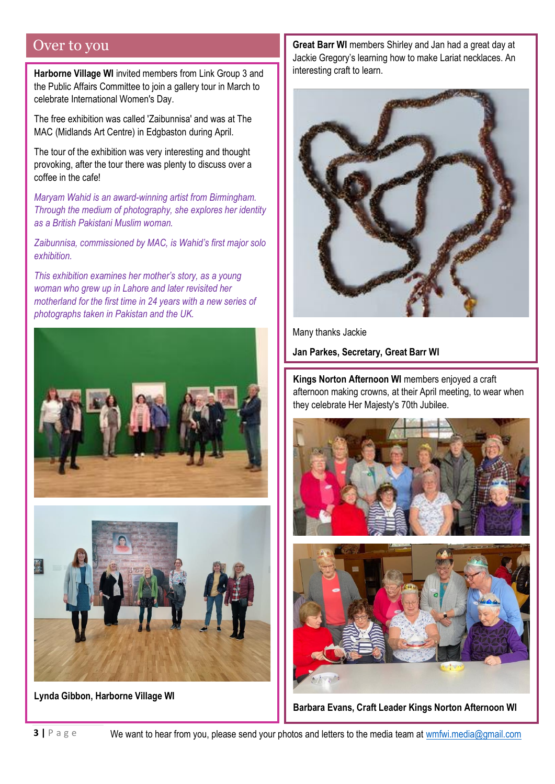### Over to you

**Harborne Village WI** invited members from Link Group 3 and the Public Affairs Committee to join a gallery tour in March to celebrate International Women's Day.

The free exhibition was called 'Zaibunnisa' and was at The MAC (Midlands Art Centre) in Edgbaston during April.

The tour of the exhibition was very interesting and thought provoking, after the tour there was plenty to discuss over a coffee in the cafe!

*Maryam Wahid is an award-winning artist from Birmingham. Through the medium of photography, she explores her identity as a British Pakistani Muslim woman.* 

*Zaibunnisa, commissioned by MAC, is Wahid's first major solo exhibition.* 

*This exhibition examines her mother's story, as a young woman who grew up in Lahore and later revisited her motherland for the first time in 24 years with a new series of photographs taken in Pakistan and the UK.*





**Lynda Gibbon, Harborne Village WI**

**Great Barr WI** members Shirley and Jan had a great day at Jackie Gregory's learning how to make Lariat necklaces. An interesting craft to learn.



Many thanks Jackie

**Jan Parkes, Secretary, Great Barr WI**

**Kings Norton Afternoon WI** members enjoyed a craft afternoon making crowns, at their April meeting, to wear when they celebrate Her Majesty's 70th Jubilee.



**Barbara Evans, Craft Leader Kings Norton Afternoon WI**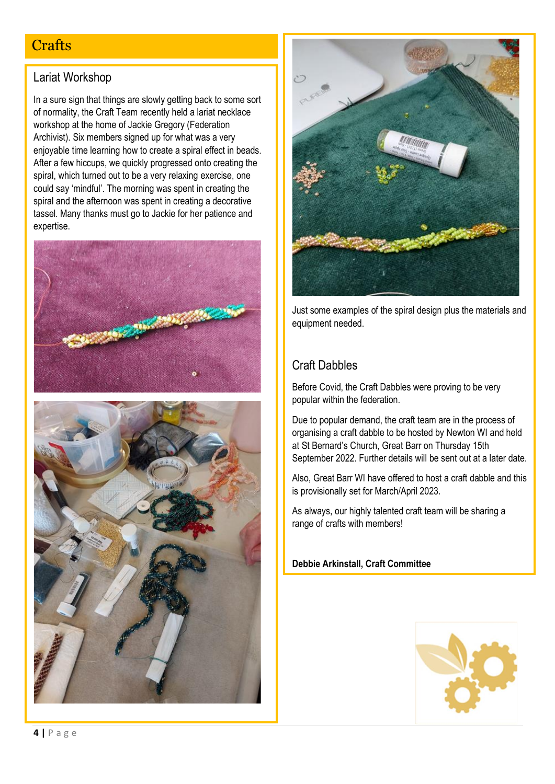# **Crafts**

#### Lariat Workshop

In a sure sign that things are slowly getting back to some sort of normality, the Craft Team recently held a lariat necklace workshop at the home of Jackie Gregory (Federation Archivist). Six members signed up for what was a very enjoyable time learning how to create a spiral effect in beads. After a few hiccups, we quickly progressed onto creating the spiral, which turned out to be a very relaxing exercise, one could say 'mindful'. The morning was spent in creating the spiral and the afternoon was spent in creating a decorative tassel. Many thanks must go to Jackie for her patience and expertise.





Just some examples of the spiral design plus the materials and equipment needed.

### Craft Dabbles

Before Covid, the Craft Dabbles were proving to be very popular within the federation.

Due to popular demand, the craft team are in the process of organising a craft dabble to be hosted by Newton WI and held at St Bernard's Church, Great Barr on Thursday 15th September 2022. Further details will be sent out at a later date.

Also, Great Barr WI have offered to host a craft dabble and this is provisionally set for March/April 2023.

As always, our highly talented craft team will be sharing a range of crafts with members!

**Debbie Arkinstall, Craft Committee**

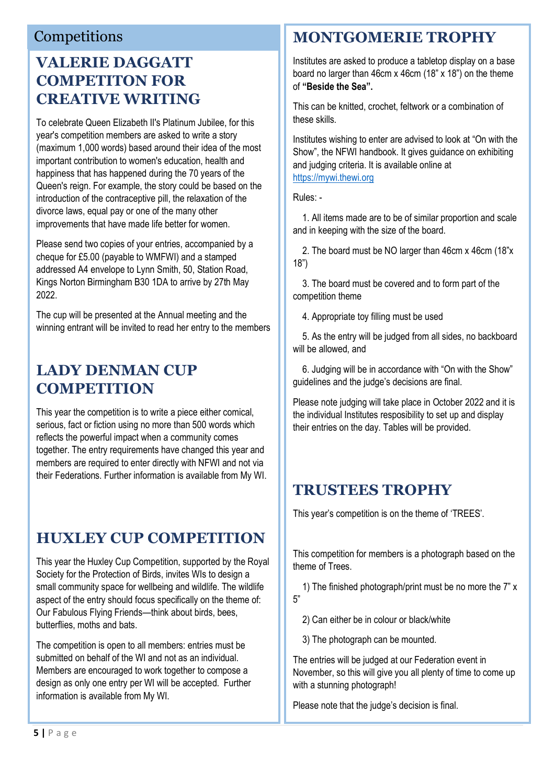### Competitions

# **VALERIE DAGGATT COMPETITON FOR CREATIVE WRITING**

To celebrate Queen Elizabeth II's Platinum Jubilee, for this year's competition members are asked to write a story (maximum 1,000 words) based around their idea of the most important contribution to women's education, health and happiness that has happened during the 70 years of the Queen's reign. For example, the story could be based on the introduction of the contraceptive pill, the relaxation of the divorce laws, equal pay or one of the many other improvements that have made life better for women.

Please send two copies of your entries, accompanied by a cheque for £5.00 (payable to WMFWI) and a stamped addressed A4 envelope to Lynn Smith, 50, Station Road, Kings Norton Birmingham B30 1DA to arrive by 27th May 2022.

The cup will be presented at the Annual meeting and the winning entrant will be invited to read her entry to the members

# **LADY DENMAN CUP COMPETITION**

This year the competition is to write a piece either comical, serious, fact or fiction using no more than 500 words which reflects the powerful impact when a community comes together. The entry requirements have changed this year and members are required to enter directly with NFWI and not via their Federations. Further information is available from My WI.

# **HUXLEY CUP COMPETITION**

This year the Huxley Cup Competition, supported by the Royal Society for the Protection of Birds, invites WIs to design a small community space for wellbeing and wildlife. The wildlife aspect of the entry should focus specifically on the theme of: Our Fabulous Flying Friends—think about birds, bees, butterflies, moths and bats.

The competition is open to all members: entries must be submitted on behalf of the WI and not as an individual. Members are encouraged to work together to compose a design as only one entry per WI will be accepted. Further information is available from My WI.

# **MONTGOMERIE TROPHY**

Institutes are asked to produce a tabletop display on a base board no larger than 46cm x 46cm (18" x 18") on the theme of **"Beside the Sea".**

This can be knitted, crochet, feltwork or a combination of these skills.

Institutes wishing to enter are advised to look at "On with the Show", the NFWI handbook. It gives guidance on exhibiting and judging criteria. It is available online at [https://mywi.thewi.org](https://mywi.thewi.org/)

Rules: -

 1. All items made are to be of similar proportion and scale and in keeping with the size of the board.

 2. The board must be NO larger than 46cm x 46cm (18"x 18")

 3. The board must be covered and to form part of the competition theme

4. Appropriate toy filling must be used

 5. As the entry will be judged from all sides, no backboard will be allowed, and

 6. Judging will be in accordance with "On with the Show" guidelines and the judge's decisions are final.

Please note judging will take place in October 2022 and it is the individual Institutes resposibility to set up and display their entries on the day. Tables will be provided.

# **TRUSTEES TROPHY**

This year's competition is on the theme of 'TREES'.

This competition for members is a photograph based on the theme of Trees.

 1) The finished photograph/print must be no more the 7" x 5"

2) Can either be in colour or black/white

3) The photograph can be mounted.

The entries will be judged at our Federation event in November, so this will give you all plenty of time to come up with a stunning photograph!

Please note that the judge's decision is final.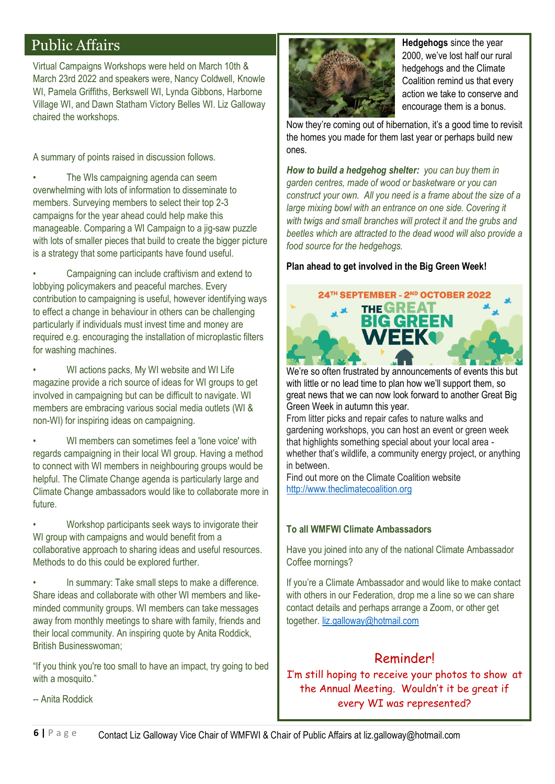# Public Affairs

Virtual Campaigns Workshops were held on March 10th & March 23rd 2022 and speakers were, Nancy Coldwell, Knowle WI, Pamela Griffiths, Berkswell WI, Lynda Gibbons, Harborne Village WI, and Dawn Statham Victory Belles WI. Liz Galloway chaired the workshops.

A summary of points raised in discussion follows.

The WIs campaigning agenda can seem overwhelming with lots of information to disseminate to members. Surveying members to select their top 2-3 campaigns for the year ahead could help make this manageable. Comparing a WI Campaign to a jig-saw puzzle with lots of smaller pieces that build to create the bigger picture is a strategy that some participants have found useful.

• Campaigning can include craftivism and extend to lobbying policymakers and peaceful marches. Every contribution to campaigning is useful, however identifying ways to effect a change in behaviour in others can be challenging particularly if individuals must invest time and money are required e.g. encouraging the installation of microplastic filters for washing machines.

WI actions packs, My WI website and WI Life magazine provide a rich source of ideas for WI groups to get involved in campaigning but can be difficult to navigate. WI members are embracing various social media outlets (WI & non-WI) for inspiring ideas on campaigning.

WI members can sometimes feel a 'lone voice' with regards campaigning in their local WI group. Having a method to connect with WI members in neighbouring groups would be helpful. The Climate Change agenda is particularly large and Climate Change ambassadors would like to collaborate more in future.

• Workshop participants seek ways to invigorate their WI group with campaigns and would benefit from a collaborative approach to sharing ideas and useful resources. Methods to do this could be explored further.

In summary: Take small steps to make a difference. Share ideas and collaborate with other WI members and likeminded community groups. WI members can take messages away from monthly meetings to share with family, friends and their local community. An inspiring quote by Anita Roddick, British Businesswoman;

"If you think you're too small to have an impact, try going to bed with a mosquito."



**Hedgehogs** since the year 2000, we've lost half our rural hedgehogs and the Climate Coalition remind us that every action we take to conserve and encourage them is a bonus.

Now they're coming out of hibernation, it's a good time to revisit the homes you made for them last year or perhaps build new ones.

*How to build a hedgehog shelter: you can buy them in garden centres, made of wood or basketware or you can construct your own. All you need is a frame about the size of a*  large mixing bowl with an entrance on one side. Covering it *with twigs and small branches will protect it and the grubs and beetles which are attracted to the dead wood will also provide a food source for the hedgehogs.*

#### **Plan ahead to get involved in the Big Green Week!**

## WEEK We're so often frustrated by announcements of events this but with little or no lead time to plan how we'll support them, so great news that we can now look forward to another Great Big Green Week in autumn this year.

24TH SEPTEMBER - 2ND OCTOBER 2022 **THE GREAT BIG GREEN** 

From litter picks and repair cafes to nature walks and gardening workshops, you can host an event or green week that highlights something special about your local area whether that's wildlife, a community energy project, or anything in between.

Find out more on the Climate Coalition website [http://www.theclimatecoalition.org](http://www.theclimatecoalition.org/)

#### **To all WMFWI Climate Ambassadors**

Have you joined into any of the national Climate Ambassador Coffee mornings?

If you're a Climate Ambassador and would like to make contact with others in our Federation, drop me a line so we can share contact details and perhaps arrange a Zoom, or other get together. [liz.galloway@hotmail.com](mailto:liz.galloway@hotmail.com)

### Reminder!

I'm still hoping to receive your photos to show at the Annual Meeting. Wouldn't it be great if every WI was represented?

-- Anita Roddick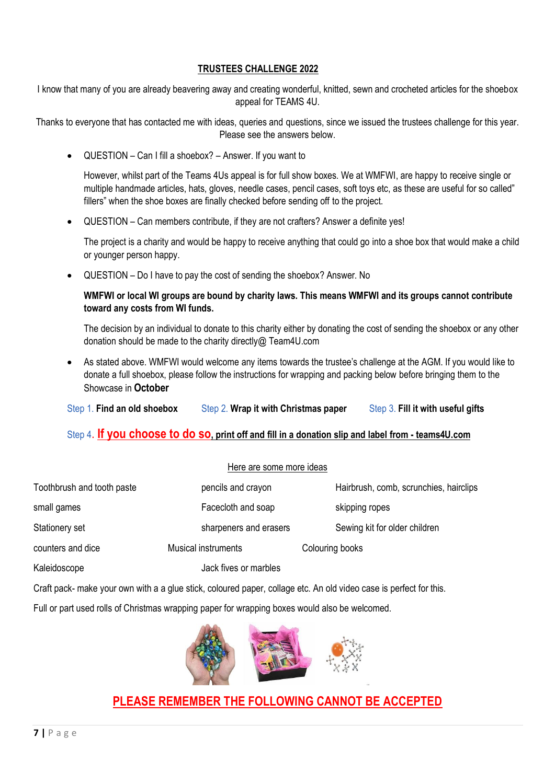#### **TRUSTEES CHALLENGE 2022**

I know that many of you are already beavering away and creating wonderful, knitted, sewn and crocheted articles for the shoebox appeal for TEAMS 4U.

Thanks to everyone that has contacted me with ideas, queries and questions, since we issued the trustees challenge for this year. Please see the answers below.

• QUESTION – Can I fill a shoebox? – Answer. If you want to

However, whilst part of the Teams 4Us appeal is for full show boxes. We at WMFWI, are happy to receive single or multiple handmade articles, hats, gloves, needle cases, pencil cases, soft toys etc, as these are useful for so called" fillers" when the shoe boxes are finally checked before sending off to the project.

• QUESTION – Can members contribute, if they are not crafters? Answer a definite yes!

The project is a charity and would be happy to receive anything that could go into a shoe box that would make a child or younger person happy.

• QUESTION – Do I have to pay the cost of sending the shoebox? Answer. No

**WMFWI or local WI groups are bound by charity laws. This means WMFWI and its groups cannot contribute toward any costs from WI funds.**

The decision by an individual to donate to this charity either by donating the cost of sending the shoebox or any other donation should be made to the charity directly@ Team4U.com

• As stated above. WMFWI would welcome any items towards the trustee's challenge at the AGM. If you would like to donate a full shoebox, please follow the instructions for wrapping and packing below before bringing them to the Showcase in **October**

Step 1. **Find an old shoebox** Step 2. **Wrap it with Christmas paper** Step 3. **Fill it with useful gifts**

#### Step 4. **If you choose to do so, print off and fill in a donation slip and label from - teams4U.com**

|                            | Here are some more ideas   |                                        |
|----------------------------|----------------------------|----------------------------------------|
| Toothbrush and tooth paste | pencils and crayon         | Hairbrush, comb, scrunchies, hairclips |
| small games                | Facecloth and soap         | skipping ropes                         |
| Stationery set             | sharpeners and erasers     | Sewing kit for older children          |
| counters and dice          | <b>Musical instruments</b> | Colouring books                        |
| Kaleidoscope               | Jack fives or marbles      |                                        |

Craft pack- make your own with a a glue stick, coloured paper, collage etc. An old video case is perfect for this.

Full or part used rolls of Christmas wrapping paper for wrapping boxes would also be welcomed.



### **PLEASE REMEMBER THE FOLLOWING CANNOT BE ACCEPTED**